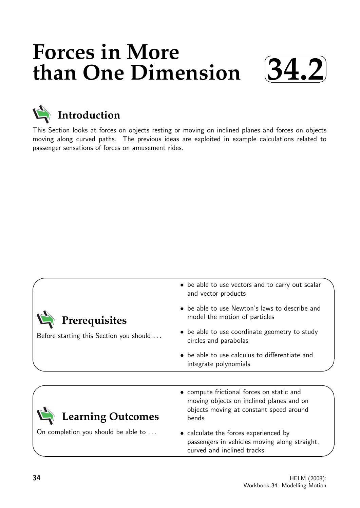# **Forces in More than One Dimension**





This Section looks at forces on objects resting or moving on inclined planes and forces on objects moving along curved paths. The previous ideas are exploited in example calculations related to passenger sensations of forces on amusement rides.

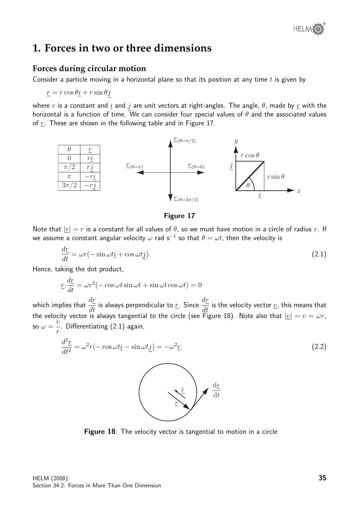

# **1. Forces in two or three dimensions**

## **Forces during circular motion**

Consider a particle moving in a horizontal plane so that its position at any time  $t$  is given by

$$
\underline{r} = r \cos \theta \underline{i} + r \sin \theta \underline{j}
$$

where r is a constant and  $\underline{i}$  and  $j$  are unit vectors at right-angles. The angle,  $\theta$ , made by  $\underline{r}$  with the horizontal is a function of time. We can consider four special values of  $\theta$  and the associated values of  $r$ . These are shown in the following table and in Figure 17.



Figure 17

Note that  $|r| = r$  is a constant for all values of  $\theta$ , so we must have motion in a circle of radius r. If we assume a constant angular velocity  $\omega$  rad s $^{-1}$  so that  $\theta=\omega t$ , then the velocity is

$$
\frac{d\underline{r}}{dt} = \omega r(-\sin \omega t \underline{i} + \cos \omega t \underline{j}).\tag{2.1}
$$

Hence, taking the dot product,

$$
\underline{r} \cdot \frac{d\underline{r}}{dt} = \omega r^2 (-\cos \omega t \sin \omega t + \sin \omega t \cos \omega t) = 0
$$

which implies that  $\frac{d\overline{r}}{dt}$  is always perpendicular to  $\underline{r}$ . Since  $\frac{d\underline{r}}{dt}$  is the velocity vector  $\underline{v}$ , this means that the velocity vector is always tangential to the circle (see Figure 18). Note also that  $|\underline{v}| = v = \omega r,$ so  $\omega =$  $\tilde{v}$ r . Differentiating (2.1) again,

$$
\frac{d^2\underline{r}}{dt^2} = \omega^2 r (-\cos \omega t \underline{i} - \sin \omega t \underline{j}) = -\omega^2 \underline{r}.
$$
\n(2.2)

Figure 18: The velocity vector is tangential to motion in a circle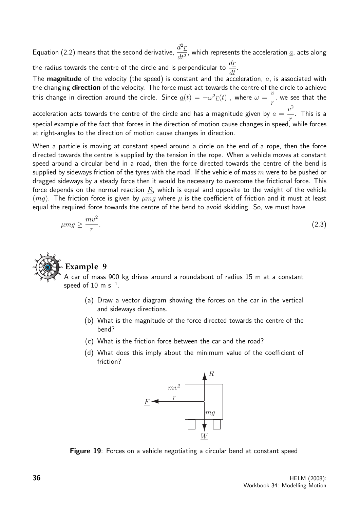Equation (2.2) means that the second derivative,  $\frac{d^2r}{dt^2}$  $\frac{d^{2}L}{dt^{2}}$ , which represents the acceleration <u>a</u>, acts along the radius towards the centre of the circle and is perpendicular to  $\frac{dr}{dt}$ 

 $\frac{dL}{dt}$ The **magnitude** of the velocity (the speed) is constant and the acceleration,  $a$ , is associated with the changing direction of the velocity. The force must act towards the centre of the circle to achieve this change in direction around the circle. Since  $\underline{a}(t)=-\omega^2\underline{r}(t)$  , where  $\omega=0$  $\ddot{v}$ r , we see that the

acceleration acts towards the centre of the circle and has a magnitude given by  $a=$  $v^2$ r . This is a special example of the fact that forces in the direction of motion cause changes in speed, while forces at right-angles to the direction of motion cause changes in direction.

When a particle is moving at constant speed around a circle on the end of a rope, then the force directed towards the centre is supplied by the tension in the rope. When a vehicle moves at constant speed around a circular bend in a road, then the force directed towards the centre of the bend is supplied by sideways friction of the tyres with the road. If the vehicle of mass  $m$  were to be pushed or dragged sideways by a steady force then it would be necessary to overcome the frictional force. This force depends on the normal reaction  $R$ , which is equal and opposite to the weight of the vehicle  $(mq)$ . The friction force is given by  $\mu$ mq where  $\mu$  is the coefficient of friction and it must at least equal the required force towards the centre of the bend to avoid skidding. So, we must have

$$
\mu mg \ge \frac{mv^2}{r}.\tag{2.3}
$$



## **Example 9**

A car of mass 900 kg drives around a roundabout of radius 15 m at a constant speed of  $10\,$  m s $^{-1}.$ 

- (a) Draw a vector diagram showing the forces on the car in the vertical and sideways directions.
- (b) What is the magnitude of the force directed towards the centre of the bend?
- (c) What is the friction force between the car and the road?
- (d) What does this imply about the minimum value of the coefficient of friction?



Figure 19: Forces on a vehicle negotiating a circular bend at constant speed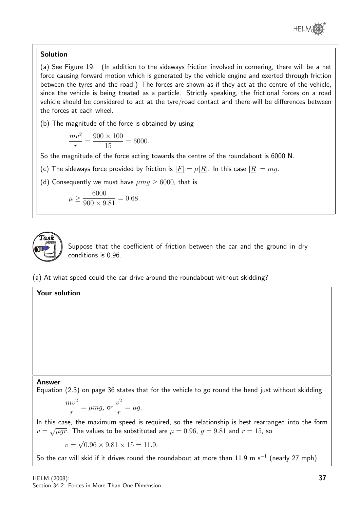

## Solution

(a) See Figure 19. (In addition to the sideways friction involved in cornering, there will be a net force causing forward motion which is generated by the vehicle engine and exerted through friction between the tyres and the road.) The forces are shown as if they act at the centre of the vehicle, since the vehicle is being treated as a particle. Strictly speaking, the frictional forces on a road vehicle should be considered to act at the tyre/road contact and there will be differences between the forces at each wheel.

(b) The magnitude of the force is obtained by using

$$
\frac{mv^2}{r} = \frac{900 \times 100}{15} = 6000.
$$

So the magnitude of the force acting towards the centre of the roundabout is 6000 N.

(c) The sideways force provided by friction is  $|F| = \mu |R|$ . In this case  $|R| = mg$ .

(d) Consequently we must have  $\mu$ mg  $> 6000$ , that is

$$
\mu \ge \frac{6000}{900 \times 9.81} = 0.68.
$$



Suppose that the coefficient of friction between the car and the ground in dry conditions is 0.96.

(a) At what speed could the car drive around the roundabout without skidding?

## Your solution

#### Answer

Equation (2.3) on page 36 states that for the vehicle to go round the bend just without skidding

$$
\frac{mv^2}{r} = \mu mg, \text{ or } \frac{v^2}{r} = \mu g.
$$

In this case, the maximum speed is required, so the relationship is best rearranged into the form  $v = \sqrt{\mu gr}$ . The values to be substituted are  $\mu = 0.96$ ,  $g = 9.81$  and  $r = 15$ , so

 $v =$ √  $0.96 \times 9.81 \times 15 = 11.9.$ 

So the car will skid if it drives round the roundabout at more than 11.9 m s<sup>-1</sup> (nearly 27 mph).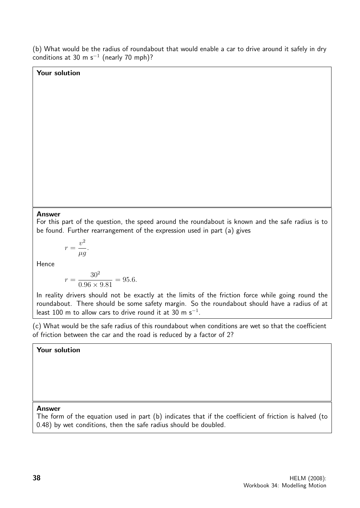(b) What would be the radius of roundabout that would enable a car to drive around it safely in dry conditions at 30 m s $^{-1}$  (nearly 70 mph)?

#### Your solution

#### Answer

For this part of the question, the speed around the roundabout is known and the safe radius is to be found. Further rearrangement of the expression used in part (a) gives

$$
r = \frac{v^2}{\mu g}.
$$

Hence

$$
r = \frac{30^2}{0.96 \times 9.81} = 95.6.
$$

In reality drivers should not be exactly at the limits of the friction force while going round the roundabout. There should be some safety margin. So the roundabout should have a radius of at least 100 m to allow cars to drive round it at 30 m s<sup>-1</sup>.

(c) What would be the safe radius of this roundabout when conditions are wet so that the coefficient of friction between the car and the road is reduced by a factor of 2?

#### Your solution

#### Answer

The form of the equation used in part (b) indicates that if the coefficient of friction is halved (to 0.48) by wet conditions, then the safe radius should be doubled.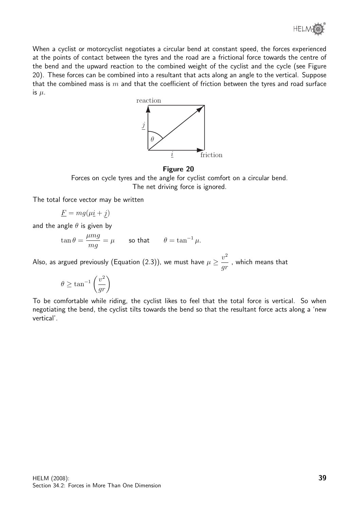

When a cyclist or motorcyclist negotiates a circular bend at constant speed, the forces experienced at the points of contact between the tyres and the road are a frictional force towards the centre of the bend and the upward reaction to the combined weight of the cyclist and the cycle (see Figure 20). These forces can be combined into a resultant that acts along an angle to the vertical. Suppose that the combined mass is  $m$  and that the coefficient of friction between the tyres and road surface is  $\mu$ .



#### Figure 20

Forces on cycle tyres and the angle for cyclist comfort on a circular bend. The net driving force is ignored.

The total force vector may be written

$$
\underline{F} = mg(\mu \underline{i} + \underline{j})
$$

and the angle  $\theta$  is given by

$$
\tan \theta = \frac{\mu mg}{mg} = \mu \qquad \text{so that} \qquad \theta = \tan^{-1} \mu.
$$

Also, as argued previously (Equation (2.3)), we must have  $\mu \geq \frac{v^2}{\mu}$ gr , which means that

$$
\theta \ge \tan^{-1}\left(\frac{v^2}{gr}\right)
$$

To be comfortable while riding, the cyclist likes to feel that the total force is vertical. So when negotiating the bend, the cyclist tilts towards the bend so that the resultant force acts along a 'new vertical'.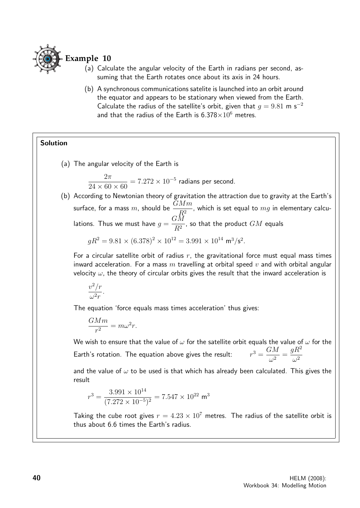

- (a) Calculate the angular velocity of the Earth in radians per second, assuming that the Earth rotates once about its axis in 24 hours.
- (b) A synchronous communications satelite is launched into an orbit around the equator and appears to be stationary when viewed from the Earth. Calculate the radius of the satellite's orbit, given that  $q = 9.81$  m s<sup>-2</sup> and that the radius of the Earth is  $6.378 \times 10^6$  metres.

## Solution

(a) The angular velocity of the Earth is

 $2\pi$  $24 \times 60 \times 60$  $= 7.272 \times 10^{-5}$  radians per second.

(b) According to Newtonian theory of gravitation the attraction due to gravity at the Earth's surface, for a mass  $m$ , should be  $\frac{GMm}{D^2}$  $\frac{274\,m}{R^2}$ , which is set equal to  $mg$  in elementary calculations. Thus we must have  $g =$  $G\bar M$  $\frac{2\pi}{R^2}$ , so that the product  $GM$  equals

$$
gR^2 = 9.81 \times (6.378)^2 \times 10^{12} = 3.991 \times 10^{14} \text{ m}^3/\text{s}^2.
$$

For a circular satellite orbit of radius  $r$ , the gravitational force must equal mass times inward acceleration. For a mass  $m$  travelling at orbital speed  $v$  and with orbital angular velocity  $\omega$ , the theory of circular orbits gives the result that the inward acceleration is

$$
\frac{v^2/r}{\omega^2r}
$$

.

The equation 'force equals mass times acceleration' thus gives:

$$
\frac{GMm}{r^2} = m\omega^2 r.
$$

We wish to ensure that the value of  $\omega$  for the satellite orbit equals the value of  $\omega$  for the Earth's rotation. The equation above gives the result:  $3 = \frac{GM}{2}$  $\frac{\partial u}{\partial x^2} =$  $gR^2$  $\omega^2$ 

and the value of  $\omega$  to be used is that which has already been calculated. This gives the result

$$
r^3 = \frac{3.991 \times 10^{14}}{(7.272 \times 10^{-5})^2} = 7.547 \times 10^{22} \text{ m}^3
$$

Taking the cube root gives  $r = 4.23 \times 10^7$  metres. The radius of the satellite orbit is thus about 6.6 times the Earth's radius.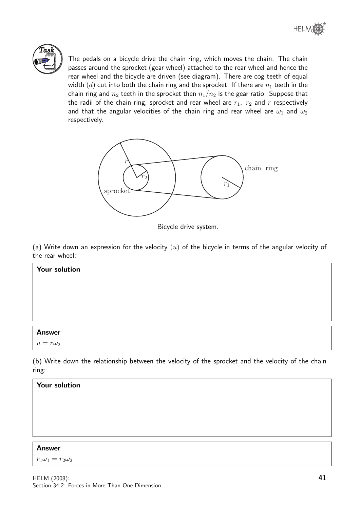



The pedals on a bicycle drive the chain ring, which moves the chain. The chain passes around the sprocket (gear wheel) attached to the rear wheel and hence the rear wheel and the bicycle are driven (see diagram). There are cog teeth of equal width  $(d)$  cut into both the chain ring and the sprocket. If there are  $n_1$  teeth in the chain ring and  $n_2$  teeth in the sprocket then  $n_1/n_2$  is the gear ratio. Suppose that the radii of the chain ring, sprocket and rear wheel are  $r_1$ ,  $r_2$  and  $r$  respectively and that the angular velocities of the chain ring and rear wheel are  $\omega_1$  and  $\omega_2$ respectively.



Bicycle drive system.

(a) Write down an expression for the velocity  $(u)$  of the bicycle in terms of the angular velocity of the rear wheel:

| <b>Answer</b>        |
|----------------------|
|                      |
|                      |
|                      |
|                      |
|                      |
|                      |
| <b>Your solution</b> |

 $u = r\omega_2$ 

(b) Write down the relationship between the velocity of the sprocket and the velocity of the chain ring:



#### Answer

 $r_1\omega_1 = r_2\omega_2$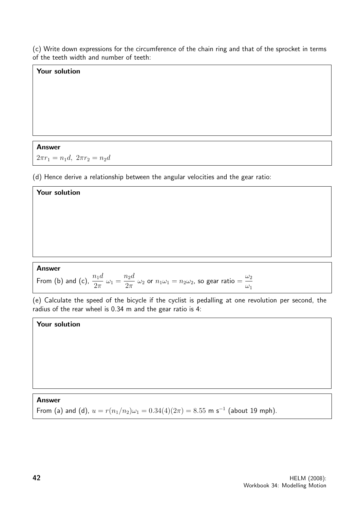(c) Write down expressions for the circumference of the chain ring and that of the sprocket in terms of the teeth width and number of teeth:

#### Your solution

#### Answer

 $\Gamma$ 

 $2\pi r_1 = n_1 d$ ,  $2\pi r_2 = n_2 d$ 

(d) Hence derive a relationship between the angular velocities and the gear ratio:

| <b>Your solution</b>                                                                                                                                     |  |  |  |  |  |
|----------------------------------------------------------------------------------------------------------------------------------------------------------|--|--|--|--|--|
|                                                                                                                                                          |  |  |  |  |  |
|                                                                                                                                                          |  |  |  |  |  |
|                                                                                                                                                          |  |  |  |  |  |
|                                                                                                                                                          |  |  |  |  |  |
| <b>Answer</b>                                                                                                                                            |  |  |  |  |  |
| From (b) and (c), $\frac{n_1d}{2\pi} \omega_1 = \frac{n_2d}{2\pi} \omega_2$ or $n_1\omega_1 = n_2\omega_2$ , so gear ratio $= \frac{\omega_2}{\omega_1}$ |  |  |  |  |  |

(e) Calculate the speed of the bicycle if the cyclist is pedalling at one revolution per second, the radius of the rear wheel is 0.34 m and the gear ratio is 4:

 $\omega_1$ 

#### Your solution

Answer From (a) and (d),  $u = r(n_1/n_2)\omega_1 = 0.34(4)(2\pi) = 8.55$  m s<sup>-1</sup> (about 19 mph).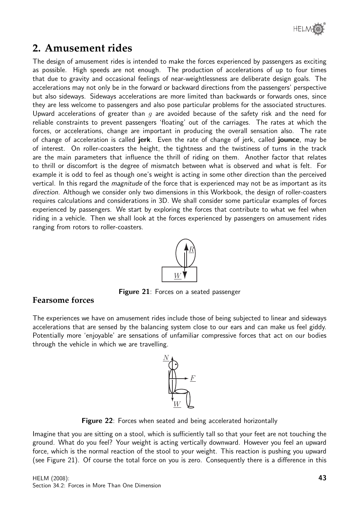

# **2. Amusement rides**

The design of amusement rides is intended to make the forces experienced by passengers as exciting as possible. High speeds are not enough. The production of accelerations of up to four times that due to gravity and occasional feelings of near-weightlessness are deliberate design goals. The accelerations may not only be in the forward or backward directions from the passengers' perspective but also sideways. Sideways accelerations are more limited than backwards or forwards ones, since they are less welcome to passengers and also pose particular problems for the associated structures. Upward accelerations of greater than  $g$  are avoided because of the safety risk and the need for reliable constraints to prevent passengers 'floating' out of the carriages. The rates at which the forces, or accelerations, change are important in producing the overall sensation also. The rate of change of acceleration is called jerk. Even the rate of change of jerk, called jounce, may be of interest. On roller-coasters the height, the tightness and the twistiness of turns in the track are the main parameters that influence the thrill of riding on them. Another factor that relates to thrill or discomfort is the degree of mismatch between what is observed and what is felt. For example it is odd to feel as though one's weight is acting in some other direction than the perceived vertical. In this regard the *magnitude* of the force that is experienced may not be as important as its direction. Although we consider only two dimensions in this Workbook, the design of roller-coasters requires calculations and considerations in 3D. We shall consider some particular examples of forces experienced by passengers. We start by exploring the forces that contribute to what we feel when riding in a vehicle. Then we shall look at the forces experienced by passengers on amusement rides ranging from rotors to roller-coasters.



Figure 21: Forces on a seated passenger

## **Fearsome forces**

The experiences we have on amusement rides include those of being subjected to linear and sideways accelerations that are sensed by the balancing system close to our ears and can make us feel giddy. Potentially more 'enjoyable' are sensations of unfamiliar compressive forces that act on our bodies through the vehicle in which we are travelling.



Figure 22: Forces when seated and being accelerated horizontally

Imagine that you are sitting on a stool, which is sufficiently tall so that your feet are not touching the ground. What do you feel? Your weight is acting vertically downward. However you feel an upward force, which is the normal reaction of the stool to your weight. This reaction is pushing you upward (see Figure 21). Of course the total force on you is zero. Consequently there is a difference in this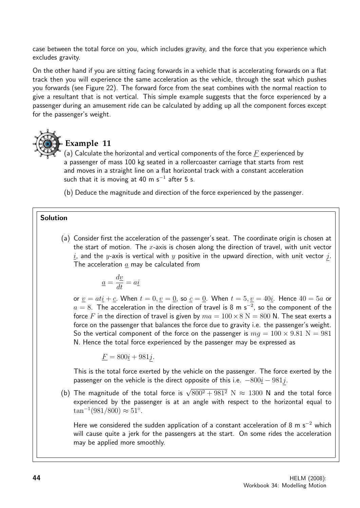case between the total force on you, which includes gravity, and the force that you experience which excludes gravity.

On the other hand if you are sitting facing forwards in a vehicle that is accelerating forwards on a flat track then you will experience the same acceleration as the vehicle, through the seat which pushes you forwards (see Figure 22). The forward force from the seat combines with the normal reaction to give a resultant that is not vertical. This simple example suggests that the force experienced by a passenger during an amusement ride can be calculated by adding up all the component forces except for the passenger's weight.



# **Example 11**

(a) Calculate the horizontal and vertical components of the force  $F$  experienced by a passenger of mass 100 kg seated in a rollercoaster carriage that starts from rest and moves in a straight line on a flat horizontal track with a constant acceleration such that it is moving at 40 m s $^{-1}$  after 5 s.

(b) Deduce the magnitude and direction of the force experienced by the passenger.

## Solution

(a) Consider first the acceleration of the passenger's seat. The coordinate origin is chosen at the start of motion. The  $x$ -axis is chosen along the direction of travel, with unit vector i, and the y-axis is vertical with y positive in the upward direction, with unit vector j. The acceleration  $a$  may be calculated from

$$
\underline{a} = \frac{d\underline{v}}{dt} = a\underline{i}
$$

or  $\underline{v} = at\underline{i} + \underline{c}$ . When  $t = 0, \underline{v} = \underline{0}$ , so  $\underline{c} = \underline{0}$ . When  $t = 5, \underline{v} = 40\underline{i}$ . Hence  $40 = 5a$  or  $a=8$ . The acceleration in the direction of travel is 8 m s $^{-2}$ , so the component of the force F in the direction of travel is given by  $ma = 100 \times 8$  N = 800 N. The seat exerts a force on the passenger that balances the force due to gravity i.e. the passenger's weight. So the vertical component of the force on the passenger is  $ma = 100 \times 9.81$  N = 981 N. Hence the total force experienced by the passenger may be expressed as

$$
\underline{F} = 800\underline{i} + 981\underline{j}.
$$

This is the total force exerted by the vehicle on the passenger. The force exerted by the passenger on the vehicle is the direct opposite of this i.e.  $-800i - 981j$ .

(b) The magnitude of the total force is  $\sqrt{800^2 + 981^2}$  N  $\approx$  1300 N and the total force experienced by the passenger is at an angle with respect to the horizontal equal to  $\tan^{-1}(981/800) \approx 51^{\circ}.$ 

Here we considered the sudden application of a constant acceleration of 8 m s<sup>-2</sup> which will cause quite a jerk for the passengers at the start. On some rides the acceleration may be applied more smoothly.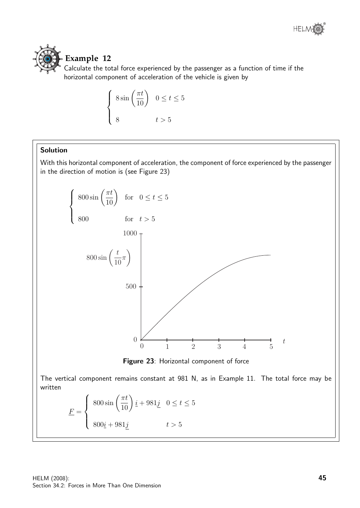



# **Example 12**

Calculate the total force experienced by the passenger as a function of time if the horizontal component of acceleration of the vehicle is given by

$$
\begin{cases} 8\sin\left(\frac{\pi t}{10}\right) & 0 \le t \le 5 \\ 8 & t > 5 \end{cases}
$$

## Solution

With this horizontal component of acceleration, the component of force experienced by the passenger in the direction of motion is (see Figure 23)



The vertical component remains constant at 981 N, as in Example 11. The total force may be written

$$
\underline{F} = \begin{cases} 800 \sin\left(\frac{\pi t}{10}\right) \underline{i} + 981 \underline{j} & 0 \le t \le 5 \\ 800 \underline{i} + 981 \underline{j} & t > 5 \end{cases}
$$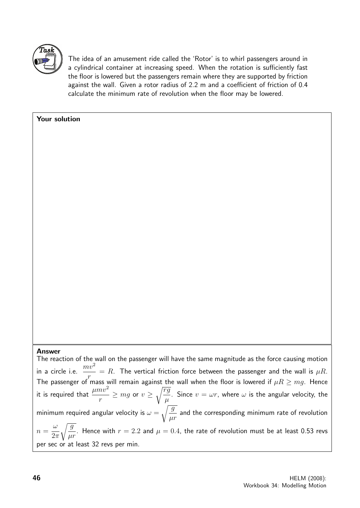

Your solution

The idea of an amusement ride called the 'Rotor' is to whirl passengers around in a cylindrical container at increasing speed. When the rotation is sufficiently fast the floor is lowered but the passengers remain where they are supported by friction against the wall. Given a rotor radius of 2.2 m and a coefficient of friction of 0.4 calculate the minimum rate of revolution when the floor may be lowered.

# Answer

The reaction of the wall on the passenger will have the same magnitude as the force causing motion in a circle i.e.  $\frac{mv^2}{\sqrt{m}}$ r  $=$   $R.$  The vertical friction force between the passenger and the wall is  $\mu R.$ The passenger of mass will remain against the wall when the floor is lowered if  $\mu R\geq mg.$  Hence it is required that  $\frac{\mu m v^2}{2}$ r  $\geq$   $mg$  or  $v \geq \sqrt{\frac{rg}{g}}$  $\mu$ . Since  $v = \omega r$ , where  $\omega$  is the angular velocity, the minimum required angular velocity is  $\omega = \sqrt{\frac{g}{\overline{g}}}$  $\mu r$ and the corresponding minimum rate of revolution  $n =$ ω  $2\pi$  $\sqrt{g}$  $\mu r$ . Hence with  $r = 2.2$  and  $\mu = 0.4$ , the rate of revolution must be at least 0.53 revs per sec or at least 32 revs per min.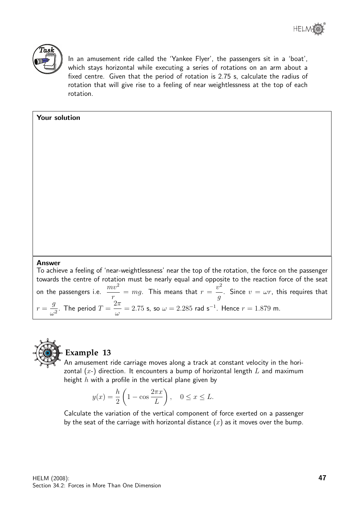

In an amusement ride called the 'Yankee Flyer', the passengers sit in a 'boat', which stays horizontal while executing a series of rotations on an arm about a fixed centre. Given that the period of rotation is 2.75 s, calculate the radius of rotation that will give rise to a feeling of near weightlessness at the top of each rotation.

## Your solution

#### Answer

To achieve a feeling of 'near-weightlessness' near the top of the rotation, the force on the passenger towards the centre of rotation must be nearly equal and opposite to the reaction force of the seat on the passengers i.e.  $\frac{mv^2}{ }$ r  $= \, mg.$  This means that  $r =$  $v^2$ g . Since  $v = \omega r$ , this requires that  $r =$ g  $\frac{g}{\omega^2}$ . The period  $T=$  $2\pi$ ω  $= 2.75$  s, so  $\omega = 2.285$  rad s<sup>-1</sup>. Hence  $r = 1.879$  m.



## **Example 13**

An amusement ride carriage moves along a track at constant velocity in the horizontal  $(x-)$  direction. It encounters a bump of horizontal length L and maximum height  $h$  with a profile in the vertical plane given by

$$
y(x) = \frac{h}{2} \left( 1 - \cos \frac{2\pi x}{L} \right), \quad 0 \le x \le L.
$$

Calculate the variation of the vertical component of force exerted on a passenger by the seat of the carriage with horizontal distance  $(x)$  as it moves over the bump.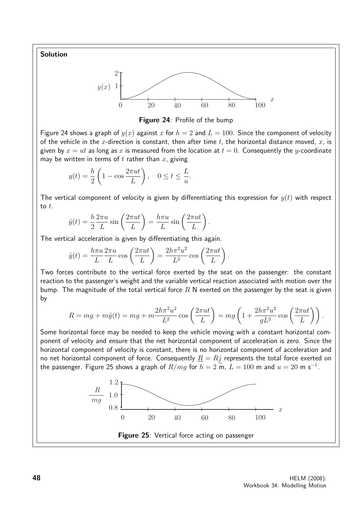Solution





Figure 24 shows a graph of  $y(x)$  against x for  $h = 2$  and  $L = 100$ . Since the component of velocity of the vehicle in the x-direction is constant, then after time t, the horizontal distance moved, x, is given by  $x = ut$  as long as x is measured from the location at  $t = 0$ . Consequently the y-coordinate may be written in terms of t rather than  $x$ , giving

$$
y(t) = \frac{h}{2} \left( 1 - \cos \frac{2\pi ut}{L} \right), \quad 0 \le t \le \frac{L}{u}.
$$

The vertical component of velocity is given by differentiating this expression for  $y(t)$  with respect to  $t$ .

$$
\dot{y}(t) = \frac{h}{2} \frac{2\pi u}{L} \sin\left(\frac{2\pi ut}{L}\right) = \frac{h\pi u}{L} \sin\left(\frac{2\pi ut}{L}\right).
$$

The vertical acceleration is given by differentiating this again.

$$
\ddot{y}(t) = \frac{h\pi u}{L} \frac{2\pi u}{L} \cos\left(\frac{2\pi ut}{L}\right) = \frac{2h\pi^2 u^2}{L^2} \cos\left(\frac{2\pi ut}{L}\right).
$$

Two forces contribute to the vertical force exerted by the seat on the passenger: the constant reaction to the passenger's weight and the variable vertical reaction associated with motion over the bump. The magnitude of the total vertical force  $R$  N exerted on the passenger by the seat is given by

$$
R = mg + m\ddot{y}(t) = mg + m\frac{2h\pi^2u^2}{L^2}\cos\left(\frac{2\pi ut}{L}\right) = mg\left(1 + \frac{2h\pi^2u^2}{gL^2}\cos\left(\frac{2\pi ut}{L}\right)\right).
$$

Some horizontal force may be needed to keep the vehicle moving with a constant horizontal component of velocity and ensure that the net horizontal component of acceleration is zero. Since the horizontal component of velocity is constant, there is no horizontal component of acceleration and no net horizontal component of force. Consequently  $R = Rj$  represents the total force exerted on the passenger. Figure 25 shows a graph of  $R/mg$  for  $h=2$  m,  $L=100$  m and  $u=20$  m s $^{-1}.$ 

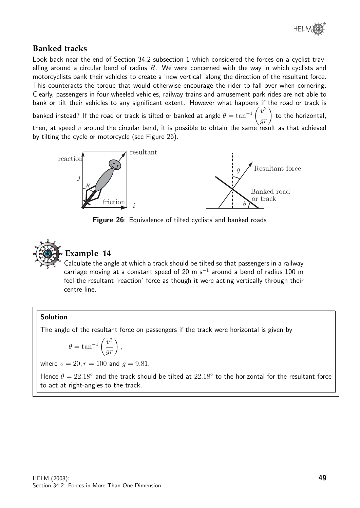

# **Banked tracks**

Look back near the end of Section 34.2 subsection 1 which considered the forces on a cyclist travelling around a circular bend of radius  $R$ . We were concerned with the way in which cyclists and motorcyclists bank their vehicles to create a 'new vertical' along the direction of the resultant force. This counteracts the torque that would otherwise encourage the rider to fall over when cornering. Clearly, passengers in four wheeled vehicles, railway trains and amusement park rides are not able to bank or tilt their vehicles to any significant extent. However what happens if the road or track is banked instead? If the road or track is tilted or banked at angle  $\theta = \tan^{-1}$  $\sqrt{ }$  $\overline{v}$ 2  $\left(\frac{v^2}{gr}\right)$ to the horizontal, then, at speed  $v$  around the circular bend, it is possible to obtain the same result as that achieved by tilting the cycle or motorcycle (see Figure 26).



Figure 26: Equivalence of tilted cyclists and banked roads



# **Example 14**

Calculate the angle at which a track should be tilted so that passengers in a railway carriage moving at a constant speed of 20 m s<sup>-1</sup> around a bend of radius 100 m feel the resultant 'reaction' force as though it were acting vertically through their centre line.

## Solution

The angle of the resultant force on passengers if the track were horizontal is given by

$$
\theta = \tan^{-1} \left( \frac{v^2}{gr} \right),
$$

where  $v = 20$ ,  $r = 100$  and  $q = 9.81$ .

Hence  $\theta = 22.18°$  and the track should be tilted at  $22.18°$  to the horizontal for the resultant force to act at right-angles to the track.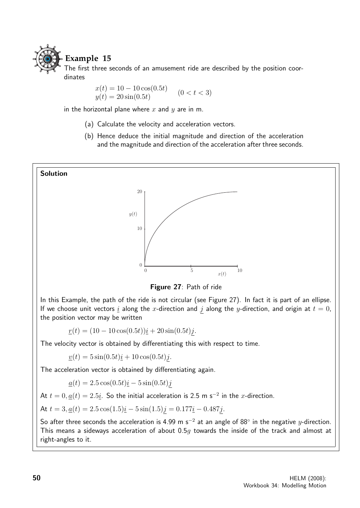

# **Example 15**

The first three seconds of an amusement ride are described by the position coordinates

> $x(t) = 10 - 10 \cos(0.5t)$  $y(t) = 20\sin(0.5t)$  $(0 < t < 3)$

in the horizontal plane where x and  $y$  are in m.

- (a) Calculate the velocity and acceleration vectors.
- (b) Hence deduce the initial magnitude and direction of the acceleration and the magnitude and direction of the acceleration after three seconds.

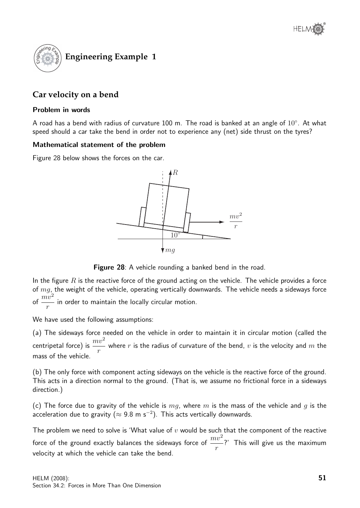

# **Car velocity on a bend**

#### Problem in words

A road has a bend with radius of curvature 100 m. The road is banked at an angle of  $10^{\circ}$ . At what speed should a car take the bend in order not to experience any (net) side thrust on the tyres?

#### Mathematical statement of the problem

Figure 28 below shows the forces on the car.



Figure 28: A vehicle rounding a banked bend in the road.

In the figure  $R$  is the reactive force of the ground acting on the vehicle. The vehicle provides a force of  $mg$ , the weight of the vehicle, operating vertically downwards. The vehicle needs a sideways force of  $\frac{mv^2}{2}$ r in order to maintain the locally circular motion.

We have used the following assumptions:

(a) The sideways force needed on the vehicle in order to maintain it in circular motion (called the centripetal force) is  $\frac{mv^2}{ }$ r where  $r$  is the radius of curvature of the bend,  $v$  is the velocity and  $m$  the mass of the vehicle.

(b) The only force with component acting sideways on the vehicle is the reactive force of the ground. This acts in a direction normal to the ground. (That is, we assume no frictional force in a sideways direction.)

(c) The force due to gravity of the vehicle is  $mg$ , where m is the mass of the vehicle and g is the acceleration due to gravity ( $\approx$  9.8 m s<sup>-2</sup>). This acts vertically downwards.

The problem we need to solve is 'What value of  $v$  would be such that the component of the reactive force of the ground exactly balances the sideways force of  $\frac{mv^2}{\phantom{p^2}}$ r ?' This will give us the maximum velocity at which the vehicle can take the bend.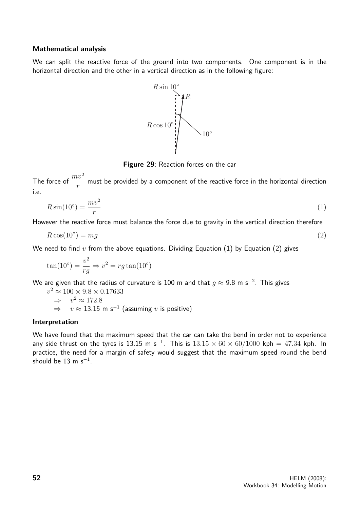#### Mathematical analysis

We can split the reactive force of the ground into two components. One component is in the horizontal direction and the other in a vertical direction as in the following figure:



Figure 29: Reaction forces on the car

The force of  $\frac{mv^2}{ }$ r must be provided by a component of the reactive force in the horizontal direction i.e.

$$
R\sin(10^\circ) = \frac{mv^2}{r} \tag{1}
$$

However the reactive force must balance the force due to gravity in the vertical direction therefore

$$
R\cos(10^\circ) = mg\tag{2}
$$

We need to find  $v$  from the above equations. Dividing Equation (1) by Equation (2) gives

$$
\tan(10^\circ) = \frac{v^2}{rg} \Rightarrow v^2 = rg \tan(10^\circ)
$$

We are given that the radius of curvature is 100 m and that  $g\approx$  9.8 m s $^{-2}.$  This gives

$$
v^2 \approx 100 \times 9.8 \times 0.17633
$$
  
\n
$$
\Rightarrow v^2 \approx 172.8
$$
  
\n
$$
\Rightarrow v \approx 13.15 \text{ m s}^{-1} \text{ (assuming } v \text{ is positive)}
$$

#### Interpretation

We have found that the maximum speed that the car can take the bend in order not to experience any side thrust on the tyres is 13.15 m s<sup>-1</sup>. This is  $13.15 \times 60 \times 60/1000$  kph = 47.34 kph. In practice, the need for a margin of safety would suggest that the maximum speed round the bend should be  $13 \text{ m s}^{-1}$ .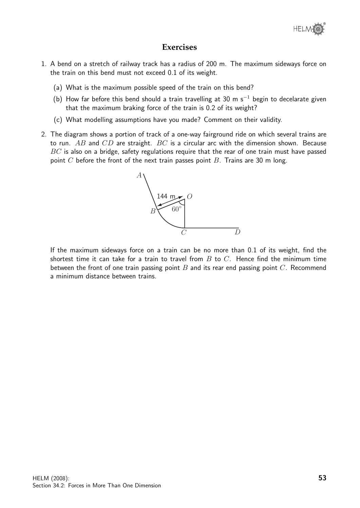

## **Exercises**

- 1. A bend on a stretch of railway track has a radius of 200 m. The maximum sideways force on the train on this bend must not exceed 0.1 of its weight.
	- (a) What is the maximum possible speed of the train on this bend?
	- (b) How far before this bend should a train travelling at 30 m s<sup>-1</sup> begin to decelarate given that the maximum braking force of the train is 0.2 of its weight?
	- (c) What modelling assumptions have you made? Comment on their validity.
- 2. The diagram shows a portion of track of a one-way fairground ride on which several trains are to run.  $AB$  and  $CD$  are straight.  $BC$  is a circular arc with the dimension shown. Because  $BC$  is also on a bridge, safety regulations require that the rear of one train must have passed point C before the front of the next train passes point  $B$ . Trains are 30 m long.



If the maximum sideways force on a train can be no more than 0.1 of its weight, find the shortest time it can take for a train to travel from  $B$  to  $C$ . Hence find the minimum time between the front of one train passing point  $B$  and its rear end passing point  $C$ . Recommend a minimum distance between trains.